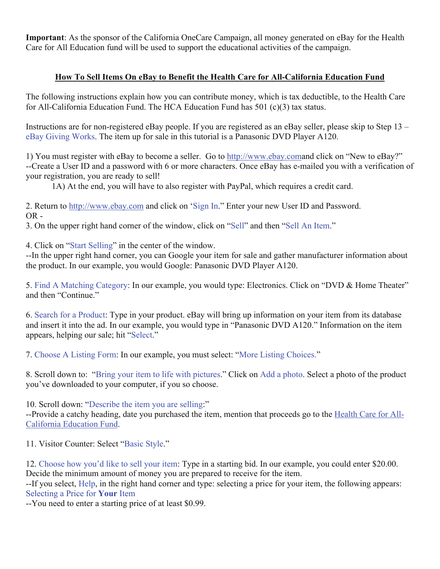**Important**: As the sponsor of the California OneCare Campaign, all money generated on eBay for the Health Care for All Education fund will be used to support the educational activities of the campaign.

## **How To Sell Items On eBay to Benefit the Health Care for All-California Education Fund**

The following instructions explain how you can contribute money, which is tax deductible, to the Health Care for All-California Education Fund. The HCA Education Fund has 501 (c)(3) tax status.

Instructions are for non-registered eBay people. If you are registered as an eBay seller, please skip to Step 13 – eBay Giving Works. The item up for sale in this tutorial is a Panasonic DVD Player A120.

1) You must register with eBay to become a seller. Go to http://www.ebay.comand click on "New to eBay?" --Create a User ID and a password with 6 or more characters. Once eBay has e-mailed you with a verification of your registration, you are ready to sell!

1A) At the end, you will have to also register with PayPal, which requires a credit card.

2. Return to http://www.ebay.com and click on 'Sign In." Enter your new User ID and Password. OR -

3. On the upper right hand corner of the window, click on "Sell" and then "Sell An Item."

4. Click on "Start Selling" in the center of the window.

--In the upper right hand corner, you can Google your item for sale and gather manufacturer information about the product. In our example, you would Google: Panasonic DVD Player A120.

5. Find A Matching Category: In our example, you would type: Electronics. Click on "DVD & Home Theater" and then "Continue."

6. Search for a Product: Type in your product. eBay will bring up information on your item from its database and insert it into the ad. In our example, you would type in "Panasonic DVD A120." Information on the item appears, helping our sale; hit "Select."

7. Choose A Listing Form: In our example, you must select: "More Listing Choices."

8. Scroll down to: "Bring your item to life with pictures." Click on Add a photo. Select a photo of the product you've downloaded to your computer, if you so choose.

10. Scroll down: "Describe the item you are selling:"

--Provide a catchy heading, date you purchased the item, mention that proceeds go to the Health Care for All-California Education Fund.

11. Visitor Counter: Select "Basic Style."

12. Choose how you'd like to sell your item: Type in a starting bid. In our example, you could enter \$20.00. Decide the minimum amount of money you are prepared to receive for the item.

--If you select, Help, in the right hand corner and type: selecting a price for your item, the following appears: Selecting a Price for **Your** Item

--You need to enter a starting price of at least \$0.99.